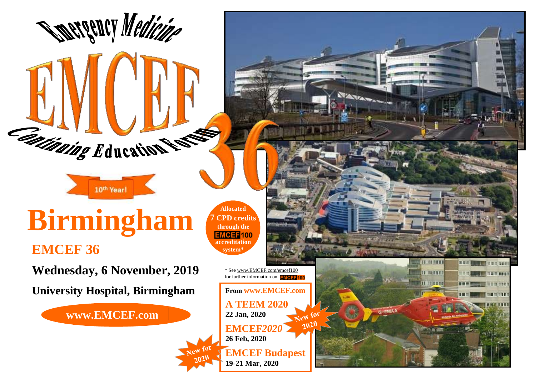## **Birmingham** *Allocated* through the

10th Year!

**Cationing Education Rests** 

**Spergency Medicine** 

**EMCEF 36**

**Wednesday, 6 November, 2019**

**University Hospital, Birmingham**

**www.EMCEF.com**

**7 CPD credits through the** *EMCEF100* **accreditation system\***

> \* Se[e www.EMCEF.com/e](http://www.emcef.com/)mcef100 for further information on **EMCEB10**

**NEATIFA** 

14 14 18 81 **IL TERRET HALLTON** 

G-EMA

**METHEL** 

**From www.EMCEF.com A TEEM 2020 22 Jan, 2020**  $20<sup>20</sup>$ **EMCEF***2020* **26 Feb, 2020 EMCEF Budapest**

 $f(x)$ 

**19-21 Mar, 2020**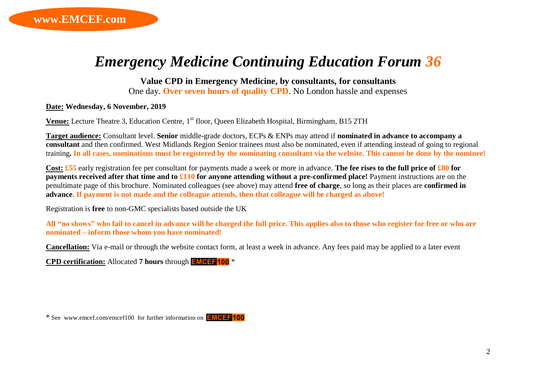## *Emergency Medicine Continuing Education Forum 36*

**Value CPD in Emergency Medicine, by consultants, for consultants**

One day. **Over seven hours of quality CPD**. No London hassle and expenses

**Date: Wednesday, 6 November, 2019**

**Venue:** Lecture Theatre 3, Education Centre, 1<sup>st</sup> floor, Queen Elizabeth Hospital, Birmingham, B15 2TH

**Target audience:** Consultant level. **Senior** middle-grade doctors, ECPs & ENPs may attend if **nominated in advance to accompany a consultant** and then confirmed. West Midlands Region Senior trainees must also be nominated, even if attending instead of going to regional training**. In all cases, nominations must be registered by the nominating consultant via the website. This cannot be done by the nominee!**

**Cost: £55** early registration fee per consultant for payments made a week or more in advance. **The fee rises to the full price of £80 for payments received after that time and to £110 for anyone attending without a pre-confirmed place!** Payment instructions are on the penultimate page of this brochure. Nominated colleagues (see above) may attend **free of charge**, so long as their places are **confirmed in advance**. **If payment is not made and the colleague attends, then that colleague will be charged as above!**

Registration is **free** to non-GMC specialists based outside the UK

**All "no shows" who fail to cancel in advance will be charged the full price. This applies also to those who register for free or who are nominated – inform those whom you have nominated!**

**Cancellation:** Via e-mail or through the website contact form, at least a week in advance. Any fees paid may be applied to a later event

**CPD certification:** Allocated **7 hours** through \*

\* See www.emcef.com/emcef100 for further information on *EMCEF100*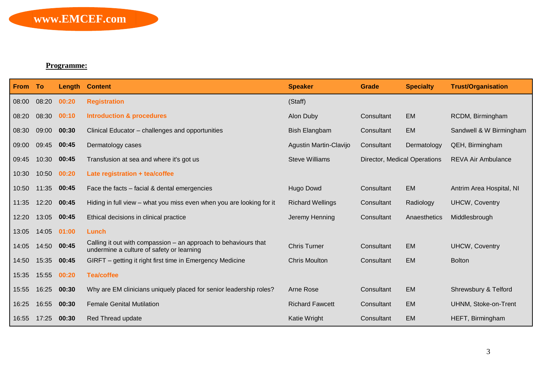## **Programme:**

| From To |       | Length | <b>Content</b>                                                                                               | <b>Speaker</b>          | <b>Grade</b>                 | <b>Specialty</b> | <b>Trust/Organisation</b> |
|---------|-------|--------|--------------------------------------------------------------------------------------------------------------|-------------------------|------------------------------|------------------|---------------------------|
| 08:00   | 08:20 | 00:20  | <b>Registration</b>                                                                                          | (Staff)                 |                              |                  |                           |
| 08:20   | 08:30 | 00:10  | <b>Introduction &amp; procedures</b>                                                                         | Alon Duby               | Consultant                   | <b>EM</b>        | RCDM, Birmingham          |
| 08:30   | 09:00 | 00:30  | Clinical Educator - challenges and opportunities                                                             | <b>Bish Elangbam</b>    | Consultant                   | <b>EM</b>        | Sandwell & W Birmingham   |
| 09:00   | 09:45 | 00:45  | Dermatology cases                                                                                            | Agustin Martin-Clavijo  | Consultant                   | Dermatology      | QEH, Birmingham           |
| 09:45   | 10:30 | 00:45  | Transfusion at sea and where it's got us                                                                     | <b>Steve Williams</b>   | Director, Medical Operations |                  | <b>REVA Air Ambulance</b> |
| 10:30   | 10:50 | 00:20  | Late registration + tea/coffee                                                                               |                         |                              |                  |                           |
| 10:50   | 11:35 | 00:45  | Face the facts – facial & dental emergencies                                                                 | Hugo Dowd               | Consultant                   | <b>EM</b>        | Antrim Area Hospital, NI  |
| 11:35   | 12:20 | 00:45  | Hiding in full view – what you miss even when you are looking for it                                         | <b>Richard Wellings</b> | Consultant                   | Radiology        | <b>UHCW, Coventry</b>     |
| 12:20   | 13:05 | 00:45  | Ethical decisions in clinical practice                                                                       | Jeremy Henning          | Consultant                   | Anaesthetics     | Middlesbrough             |
| 13:05   | 14:05 | 01:00  | Lunch                                                                                                        |                         |                              |                  |                           |
| 14:05   | 14:50 | 00:45  | Calling it out with compassion – an approach to behaviours that<br>undermine a culture of safety or learning | <b>Chris Turner</b>     | Consultant                   | <b>EM</b>        | <b>UHCW, Coventry</b>     |
| 14:50   | 15:35 | 00:45  | GIRFT – getting it right first time in Emergency Medicine                                                    | <b>Chris Moulton</b>    | Consultant                   | <b>EM</b>        | <b>Bolton</b>             |
| 15:35   | 15:55 | 00:20  | <b>Tea/coffee</b>                                                                                            |                         |                              |                  |                           |
| 15:55   | 16:25 | 00:30  | Why are EM clinicians uniquely placed for senior leadership roles?                                           | Arne Rose               | Consultant                   | <b>EM</b>        | Shrewsbury & Telford      |
| 16:25   | 16:55 | 00:30  | <b>Female Genital Mutilation</b>                                                                             | <b>Richard Fawcett</b>  | Consultant                   | <b>EM</b>        | UHNM, Stoke-on-Trent      |
| 16:55   | 17:25 | 00:30  | Red Thread update                                                                                            | Katie Wright            | Consultant                   | <b>EM</b>        | HEFT, Birmingham          |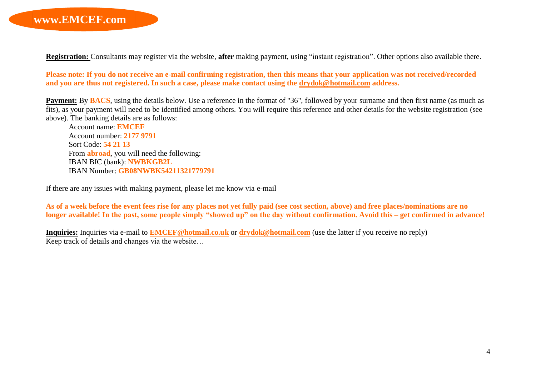**Registration:** Consultants may register via the website, **after** making payment, using "instant registration". Other options also available there.

**Please note: If you do not receive an e-mail confirming registration, then this means that your application was not received/recorded and you are thus not registered. In such a case, please make contact using the [drydok@hotmail.com](mailto:drydok@hotmail.com) address.**

**Payment:** By **BACS**, using the details below. Use a reference in the format of "36", followed by your surname and then first name (as much as fits), as your payment will need to be identified among others. You will require this reference and other details for the website registration (see above). The banking details are as follows:

Account name: **EMCEF** Account number: **2177 9791** Sort Code: **54 21 13** From **abroad**, you will need the following: IBAN BIC (bank): **NWBKGB2L** IBAN Number: **GB08NWBK54211321779791**

If there are any issues with making payment, please let me know via e-mail

**As of a week before the event fees rise for any places not yet fully paid (see cost section, above) and free places/nominations are no longer available! In the past, some people simply "showed up" on the day without confirmation. Avoid this – get confirmed in advance!**

**Inquiries:** Inquiries via e-mail to **[EMCEF@hotmail.co.uk](mailto:EMCEF@hotmail.co.uk)** or **[drydok@hotmail.com](mailto:drydok@hotmail.com)** (use the latter if you receive no reply) Keep track of details and changes via the website…